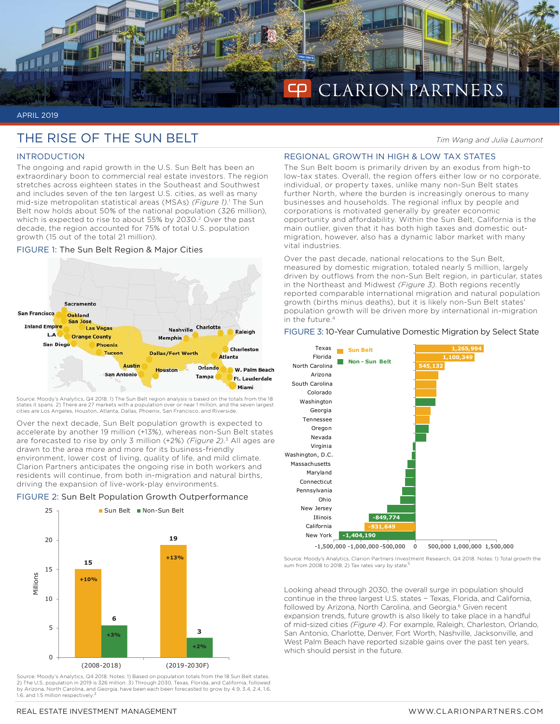

#### APRIL 2019

# THE RISE OF THE SUN BELT *Tim Wang and Julia Laumont*

# INTRODUCTION

The ongoing and rapid growth in the U.S. Sun Belt has been an extraordinary boon to commercial real estate investors. The region stretches across eighteen states in the Southeast and Southwest and includes seven of the ten largest U.S. cities, as well as many mid-size metropolitan statistical areas (MSAs) *(Figure 1)*. 1 The Sun Belt now holds about 50% of the national population (326 million), which is expected to rise to about 55% by 2030.<sup>2</sup> Over the past decade, the region accounted for 75% of total U.S. population growth (15 out of the total 21 million).

# FIGURE 1: The Sun Belt Region & Major Cities



Source: Moody's Analytics, Q4 2018. 1) The Sun Belt region analysis is based on the totals from the 18 states it spans. 2) There are 27 markets with a population over or near 1 million, and the seven largest<br>cities are Los Angeles, Houston, Atlanta, Dallas, Phoenix, San Francisco, and Riverside.

Over the next decade, Sun Belt population growth is expected to accelerate by another 19 million (+13%), whereas non-Sun Belt states are forecasted to rise by only 3 million (+2%) *(Figure 2)*. 3 All ages are drawn to the area more and more for its business-friendly environment, lower cost of living, quality of life, and mild climate. Clarion Partners anticipates the ongoing rise in both workers and residents will continue, from both in-migration and natural births, driving the expansion of live-work-play environments.

# FIGURE 2: Sun Belt Population Growth Outperformance



Source: Moody's Analytics, Q4 2018. Notes: 1) Based on population totals from the 18 Sun Belt states. 2) The U.S. population in 2019 is 326 million. 3) Through 2030, Texas, Florida, and California, followed by Arizona, North Carolina, and Georgia, have been each been forecasted to grow by 4.9, 3.4, 2.4, 1.6, 1.6, and 1.5 million respectively.

# REGIONAL GROWTH IN HIGH & LOW TAX STATES

The Sun Belt boom is primarily driven by an exodus from high-to low-tax states. Overall, the region offers either low or no corporate, individual, or property taxes, unlike many non-Sun Belt states further North, where the burden is increasingly onerous to many businesses and households. The regional influx by people and corporations is motivated generally by greater economic opportunity and affordability. Within the Sun Belt, California is the main outlier, given that it has both high taxes and domestic outmigration, however, also has a dynamic labor market with many vital industries.

Over the past decade, national relocations to the Sun Belt, measured by domestic migration, totaled nearly 5 million, largely driven by outflows from the non-Sun Belt region, in particular, states in the Northeast and Midwest *(Figure 3)*. Both regions recently reported comparable international migration and natural population growth (births minus deaths), but it is likely non-Sun Belt states' population growth will be driven more by international in-migration in the future.4

# FIGURE 3: 10-Year Cumulative Domestic Migration by Select State



Source: Moody's Analytics, Clarion Partners Investment Research, Q4 2018. Notes: 1) Total growth the sum from 2008 to 2018. 2) Tax rates vary by state.

Looking ahead through 2030, the overall surge in population should continue in the three largest U.S. states − Texas, Florida, and California, followed by Arizona, North Carolina, and Georgia.<sup>6</sup> Given recent expansion trends, future growth is also likely to take place in a handful of mid-sized cities *(Figure 4)*. For example, Raleigh, Charleston, Orlando, San Antonio, Charlotte, Denver, Fort Worth, Nashville, Jacksonville, and West Palm Beach have reported sizable gains over the past ten years, which should persist in the future.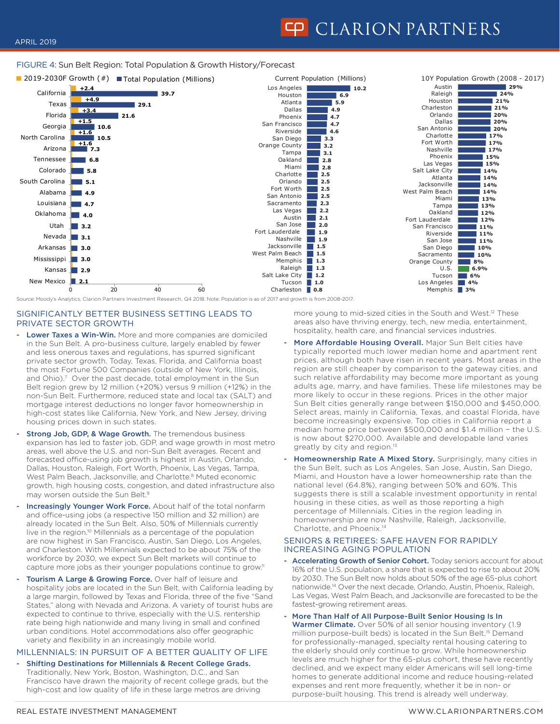# FIGURE 4: Sun Belt Region: Total Population & Growth History/Forecast



# SIGNIFICANTLY BETTER BUSINESS SETTING LEADS TO PRIVATE SECTOR GROWTH

- Lower Taxes a Win-Win. More and more companies are domiciled in the Sun Belt. A pro-business culture, largely enabled by fewer and less onerous taxes and regulations, has spurred significant private sector growth. Today, Texas, Florida, and California boast the most Fortune 500 Companies (outside of New York, Illinois, and Ohio).<sup>7</sup> Over the past decade, total employment in the Sun Belt region grew by 12 million (+20%) versus 9 million (+12%) in the non-Sun Belt. Furthermore, reduced state and local tax (SALT) and mortgage interest deductions no longer favor homeownership in high-cost states like California, New York, and New Jersey, driving housing prices down in such states.
- Strong Job, GDP, & Wage Growth. The tremendous business expansion has led to faster job, GDP, and wage growth in most metro areas, well above the U.S. and non-Sun Belt averages. Recent and forecasted office-using job growth is highest in Austin, Orlando, Dallas, Houston, Raleigh, Fort Worth, Phoenix, Las Vegas, Tampa, West Palm Beach, Jacksonville, and Charlotte.<sup>8</sup> Muted economic growth, high housing costs, congestion, and dated infrastructure also may worsen outside the Sun Belt.9
- Increasingly Younger Work Force. About half of the total nonfarm and office-using jobs (a respective 150 million and 32 million) are already located in the Sun Belt. Also, 50% of Millennials currently live in the region.<sup>10</sup> Millennials as a percentage of the population are now highest in San Francisco, Austin, San Diego, Los Angeles, and Charleston. With Millennials expected to be about 75% of the workforce by 2030, we expect Sun Belt markets will continue to capture more jobs as their younger populations continue to grow.<sup>11</sup>
- Tourism A Large & Growing Force. Over half of leisure and hospitality jobs are located in the Sun Belt, with California leading by a large margin, followed by Texas and Florida, three of the five "Sand States," along with Nevada and Arizona. A variety of tourist hubs are expected to continue to thrive, especially with the U.S. rentership rate being high nationwide and many living in small and confined urban conditions. Hotel accommodations also offer geographic variety and flexibility in an increasingly mobile world.

# MILLENNIALS: IN PURSUIT OF A BETTER QUALITY OF LIFE

Shifting Destinations for Millennials & Recent College Grads. Traditionally, New York, Boston, Washington, D.C., and San Francisco have drawn the majority of recent college grads, but the high-cost and low quality of life in these large metros are driving

 more young to mid-sized cities in the South and West.12 These areas also have thriving energy, tech, new media, entertainment, hospitality, health care, and financial services industries.

- More Affordable Housing Overall. Major Sun Belt cities have typically reported much lower median home and apartment rent prices, although both have risen in recent years. Most areas in the region are still cheaper by comparison to the gateway cities, and such relative affordability may become more important as young adults age, marry, and have families. These life milestones may be more likely to occur in these regions. Prices in the other major Sun Belt cities generally range between \$150,000 and \$450,000. Select areas, mainly in California, Texas, and coastal Florida, have become increasingly expensive. Top cities in California report a median home price between \$500,000 and \$1.4 million − the U.S. is now about \$270,000. Available and developable land varies greatly by city and region.<sup>13</sup>
- Homeownership Rate A Mixed Story. Surprisingly, many cities in the Sun Belt, such as Los Angeles, San Jose, Austin, San Diego, Miami, and Houston have a lower homeownership rate than the national level (64.8%), ranging between 50% and 60%. This suggests there is still a scalable investment opportunity in rental housing in these cities, as well as those reporting a high percentage of Millennials. Cities in the region leading in homeownership are now Nashville, Raleigh, Jacksonville, Charlotte, and Phoenix.14

#### SENIORS & RETIREES: SAFE HAVEN FOR RAPIDLY INCREASING AGING POPULATION

- Accelerating Growth of Senior Cohort. Today seniors account for about 16% of the U.S. population, a share that is expected to rise to about 20% by 2030. The Sun Belt now holds about 50% of the age 65-plus cohort nationwide.14 Over the next decade, Orlando, Austin, Phoenix, Raleigh, Las Vegas, West Palm Beach, and Jacksonville are forecasted to be the fastest-growing retirement areas.
- More Than Half of All Purpose-Built Senior Housing Is In Warmer Climate. Over 50% of all senior housing inventory (1.9 million purpose-built beds) is located in the Sun Belt.15 Demand for professionally-managed, specialty rental housing catering to the elderly should only continue to grow. While homeownership levels are much higher for the 65-plus cohort, these have recently declined, and we expect many elder Americans will sell long-time homes to generate additional income and reduce housing-related expenses and rent more frequently, whether it be in non- or purpose-built housing. This trend is already well underway.